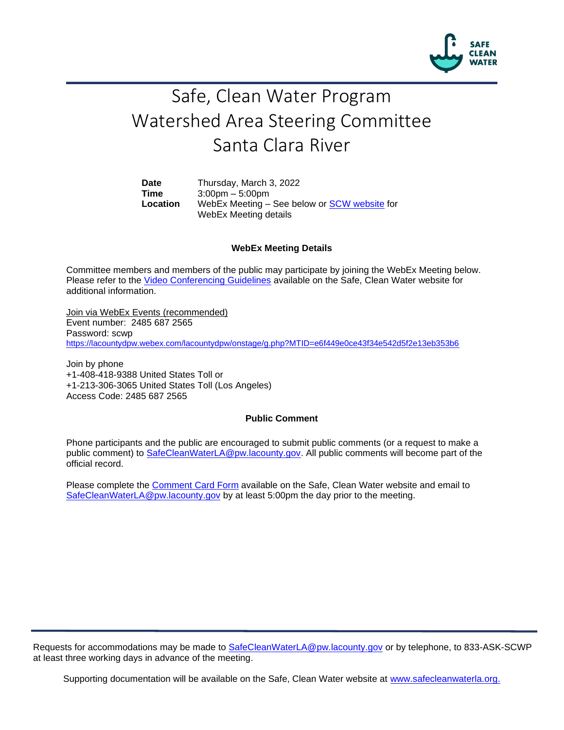

## Safe, Clean Water Program Watershed Area Steering Committee Santa Clara River

**Date** Thursday, March 3, 2022 **Time** 3:00pm – 5:00pm **Location** WebEx Meeting – See below or [SCW website](https://safecleanwaterla.org/santa-clara-river-watershed-area/) for WebEx Meeting details

## **WebEx Meeting Details**

Committee members and members of the public may participate by joining the WebEx Meeting below. Please refer to the [Video Conferencing Guidelines](https://safecleanwaterla.org/video-conference-guidelines/) available on the Safe, Clean Water website for additional information.

Join via WebEx Events (recommended) Event number: 2485 687 2565 Password: scwp <https://lacountydpw.webex.com/lacountydpw/onstage/g.php?MTID=e6f449e0ce43f34e542d5f2e13eb353b6>

Join by phone +1-408-418-9388 United States Toll or +1-213-306-3065 United States Toll (Los Angeles) Access Code: 2485 687 2565

## **Public Comment**

Phone participants and the public are encouraged to submit public comments (or a request to make a public comment) to [SafeCleanWaterLA@pw.lacounty.gov.](mailto:SafeCleanWaterLA@pw.lacounty.gov) All public comments will become part of the official record.

Please complete the Comment [Card Form](https://safecleanwaterla.org/video-conference-guidelines/) available on the Safe, Clean Water website and email to [SafeCleanWaterLA@pw.lacounty.gov](mailto:SafeCleanWaterLA@pw.lacounty.gov) by at least 5:00pm the day prior to the meeting.

Requests for accommodations may be made to [SafeCleanWaterLA@pw.lacounty.gov](mailto:SafeCleanWaterLA@pw.lacounty.gov) or by telephone, to 833-ASK-SCWP at least three working days in advance of the meeting.

Supporting documentation will be available on the Safe, Clean Water website at [www.safecleanwaterla.org.](http://www.safecleanwaterla.org/)